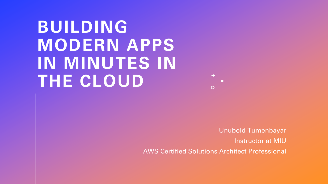## **BUILDING MODERN APPS IN MINUTES IN THE CLOUD**



Unubold Tumenbayar Instructor at MIU AWS Certified Solutions Architect Professional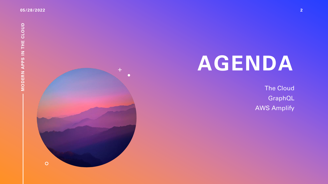

# **AGENDA**

The Cloud GraphQL AWS Amplify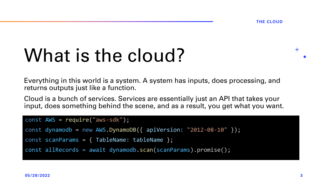# What is the cloud?

Everything in this world is a system. A system has inputs, does processing, and returns outputs just like a function.

Cloud is a bunch of services. Services are essentially just an API that takes your input, does something behind the scene, and as a result, you get what you want.

```
const AWS = require("aws-sdk");
```

```
const dynamodb = new AWS.DynamoDB(\{ apiVersion: "2012-08-10" \});
```

```
const scanParams = { TableName: tableName };
```

```
const allRecords = await dynamodb.scan(scanParams).promise();
```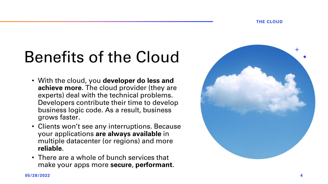### Benefits of the Cloud

- With the cloud, you **developer do less and achieve more**. The cloud provider (they are experts) deal with the technical problems. Developers contribute their time to develop business logic code. As a result, business grows faster.
- Clients won't see any interruptions. Because your applications **are always available** in multiple datacenter (or regions) and more **reliable**.
- There are a whole of bunch services that make your apps more **secure**, **performant**.

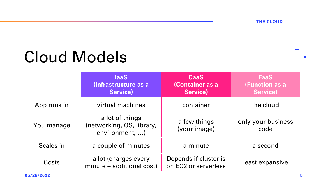### Cloud Models

|             | laaS<br>(Infrastructure as a<br>Service)                       | <b>CaaS</b><br>(Container as a<br>Service)    | <b>FaaS</b><br>(Function as a<br>Service) |
|-------------|----------------------------------------------------------------|-----------------------------------------------|-------------------------------------------|
| App runs in | virtual machines                                               | container                                     | the cloud                                 |
| You manage  | a lot of things<br>(networking, OS, library,<br>environment, ) | a few things<br>(your image)                  | only your business<br>code                |
| Scales in   | a couple of minutes                                            | a minute                                      | a second                                  |
| Costs       | a lot (charges every<br>minute + additional cost)              | Depends if cluster is<br>on EC2 or serverless | least expansive                           |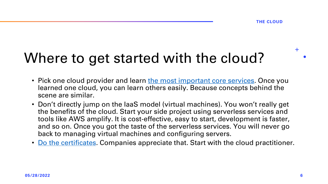#### Where to get started with the cloud?

- Pick one cloud provider and learn [the most important core services](https://www.youtube.com/watch?v=B08iQQhXG1Y). Once you learned one cloud, you can learn others easily. Because concepts behind the scene are similar.
- Don't directly jump on the IaaS model (virtual machines). You won't really get the benefits of the cloud. Start your side project using serverless services and tools like AWS amplify. It is cost-effective, easy to start, development is faster, and so on. Once you got the taste of the serverless services. You will never go back to managing virtual machines and configuring servers.
- [Do the certificates](https://digitalcloud.training/). Companies appreciate that. Start with the cloud practitioner.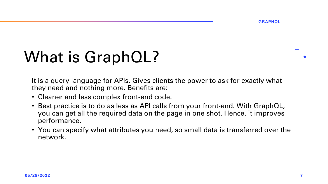**GRAPHQL**

### What is GraphQL?

It is a query language for APIs. Gives clients the power to ask for exactly what they need and nothing more. Benefits are:

- Cleaner and less complex front-end code.
- Best practice is to do as less as API calls from your front-end. With GraphQL, you can get all the required data on the page in one shot. Hence, it improves performance.
- You can specify what attributes you need, so small data is transferred over the network.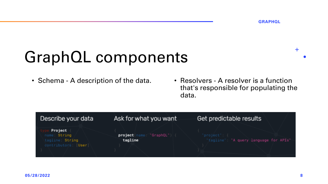### GraphQL components

• Schema - A description of the data.

• Resolvers - A resolver is a function that's responsible for populating the data.

| Describe your data                                                 | Ask for what you want                           | Get predictable results                                |
|--------------------------------------------------------------------|-------------------------------------------------|--------------------------------------------------------|
| Project<br>name: String<br>tagline: String<br>contributors:   User | ie: " <b>GraphQL"</b> ) {<br>project<br>tagline | 'project": {<br>"tagline": "A query language for APIs" |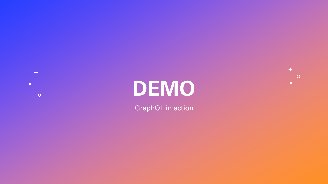

# **DEMO**

 $+$  $\circ$  $\bullet$ 

GraphQL in action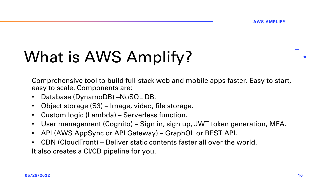## What is AWS Amplify?

Comprehensive tool to build full-stack web and mobile apps faster. Easy to start, easy to scale. Components are:

- Database (DynamoDB) –NoSQL DB.
- Object storage (S3) Image, video, file storage.
- Custom logic (Lambda) Serverless function.
- User management (Cognito) Sign in, sign up, JWT token generation, MFA.
- API (AWS AppSync or API Gateway) GraphQL or REST API.
- CDN (CloudFront) Deliver static contents faster all over the world. It also creates a CI/CD pipeline for you.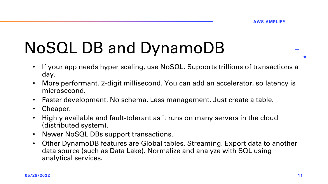## NoSQL DB and DynamoDB

- If your app needs hyper scaling, use NoSQL. Supports trillions of transactions a day.
- More performant. 2-digit millisecond. You can add an accelerator, so latency is microsecond.
- Faster development. No schema. Less management. Just create a table.
- Cheaper.
- Highly available and fault-tolerant as it runs on many servers in the cloud (distributed system).
- Newer NoSQL DBs support transactions.
- Other DynamoDB features are Global tables, Streaming. Export data to another data source (such as Data Lake). Normalize and analyze with SQL using analytical services.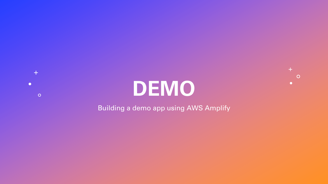

 $+$ 

 $\circ$ 

 $\bullet$ 

 $+$ 

 $\bullet$ 

 $\circ$ 

Building a demo app using AWS Amplify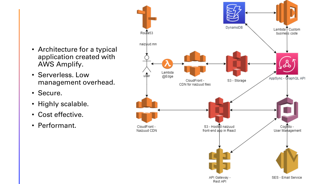- Architecture for a typical application created with AWS Amplify.
- Serverless. Low management overhead.
- Secure.
- Highly scalable.
- Cost effective.
- Performant.

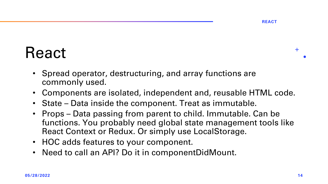#### React

- Spread operator, destructuring, and array functions are commonly used.
- Components are isolated, independent and, reusable HTML code.
- State Data inside the component. Treat as immutable.
- Props Data passing from parent to child. Immutable. Can be functions. You probably need global state management tools like React Context or Redux. Or simply use LocalStorage.
- HOC adds features to your component.
- Need to call an API? Do it in componentDidMount.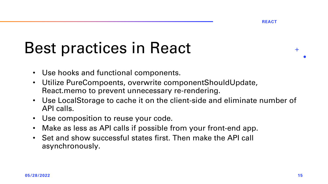**REACT**

### Best practices in React

- Use hooks and functional components.
- Utilize PureCompoents, overwrite componentShouldUpdate, React.memo to prevent unnecessary re-rendering.
- Use LocalStorage to cache it on the client-side and eliminate number of API calls.
- Use composition to reuse your code.
- Make as less as API calls if possible from your front-end app.
- Set and show successful states first. Then make the API call asynchronously.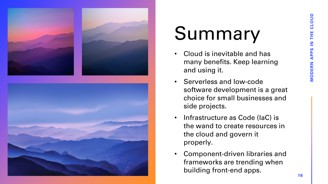



# Summary

- Cloud is inevitable and has many benefits. Keep learning and using it.
- Serverless and low-code software development is a great choice for small businesses and side projects.
- Infrastructure as Code (IaC) is the wand to create resources in the cloud and govern it properly.
- Component-driven libraries and frameworks are trending when building front-end apps.